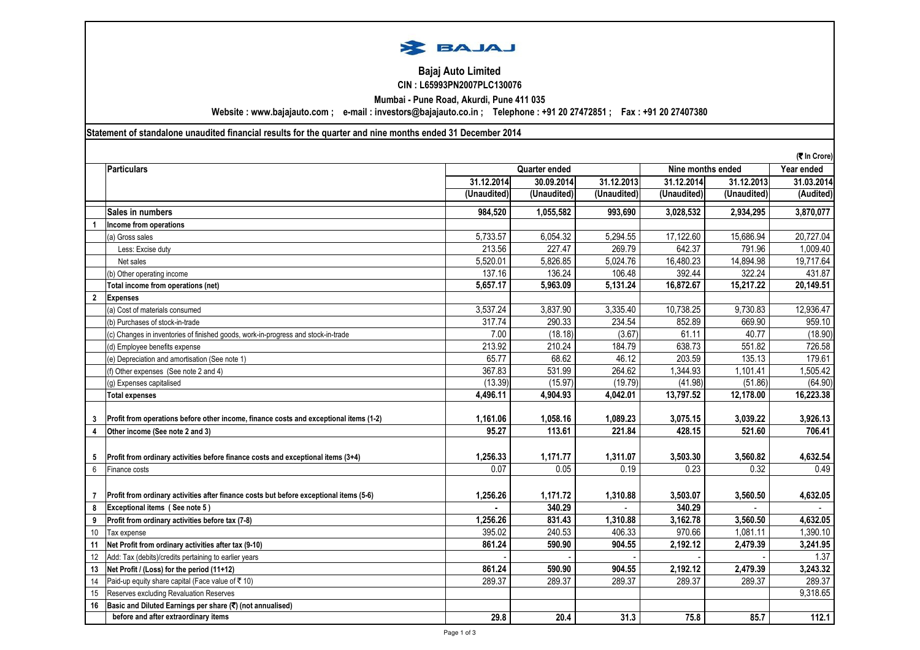

## CIN : L65993PN2007PLC130076 Bajaj Auto Limited

Mumbai - Pune Road, Akurdi, Pune 411 035

Website : www.bajajauto.com ; e-mail : investors@bajajauto.co.in ; Telephone : +91 20 27472851 ; Fax : +91 20 27407380

Statement of standalone unaudited financial results for the quarter and nine months ended 31 December 2014

|                 |                                                                                        |                                    |             |             |             |             | (₹ In Crore) |
|-----------------|----------------------------------------------------------------------------------------|------------------------------------|-------------|-------------|-------------|-------------|--------------|
|                 | <b>Particulars</b>                                                                     | Nine months ended<br>Quarter ended |             |             |             | Year ended  |              |
|                 |                                                                                        | 31.12.2014                         | 30.09.2014  | 31.12.2013  | 31.12.2014  | 31.12.2013  | 31.03.2014   |
|                 |                                                                                        | (Unaudited)                        | (Unaudited) | (Unaudited) | (Unaudited) | (Unaudited) | (Audited)    |
|                 | Sales in numbers                                                                       | 984,520                            | 1,055,582   | 993,690     | 3,028,532   | 2,934,295   | 3,870,077    |
|                 | Income from operations                                                                 |                                    |             |             |             |             |              |
|                 | (a) Gross sales                                                                        | 5,733.57                           | 6,054.32    | 5,294.55    | 17,122.60   | 15,686.94   | 20,727.04    |
|                 | Less: Excise duty                                                                      | 213.56                             | 227.47      | 269.79      | 642.37      | 791.96      | 1,009.40     |
|                 | Net sales                                                                              | 5,520.01                           | 5,826.85    | 5,024.76    | 16,480.23   | 14,894.98   | 19,717.64    |
|                 | (b) Other operating income                                                             | 137.16                             | 136.24      | 106.48      | 392.44      | 322.24      | 431.87       |
|                 | Total income from operations (net)                                                     | 5,657.17                           | 5,963.09    | 5,131.24    | 16,872.67   | 15,217.22   | 20,149.51    |
| $\mathbf{2}$    | <b>Expenses</b>                                                                        |                                    |             |             |             |             |              |
|                 | (a) Cost of materials consumed                                                         | 3,537.24                           | 3,837.90    | 3,335.40    | 10,738.25   | 9,730.83    | 12,936.47    |
|                 | (b) Purchases of stock-in-trade                                                        | 317.74                             | 290.33      | 234.54      | 852.89      | 669.90      | 959.10       |
|                 | (c) Changes in inventories of finished goods, work-in-progress and stock-in-trade      | 7.00                               | (18.18)     | (3.67)      | 61.11       | 40.77       | (18.90)      |
|                 | (d) Employee benefits expense                                                          | 213.92                             | 210.24      | 184.79      | 638.73      | 551.82      | 726.58       |
|                 | (e) Depreciation and amortisation (See note 1)                                         | 65.77                              | 68.62       | 46.12       | 203.59      | 135.13      | 179.61       |
|                 | (f) Other expenses (See note 2 and 4)                                                  | 367.83                             | 531.99      | 264.62      | 1,344.93    | 1,101.41    | 1,505.42     |
|                 | (g) Expenses capitalised                                                               | (13.39)                            | (15.97)     | (19.79)     | (41.98)     | (51.86)     | (64.90)      |
|                 | <b>Total expenses</b>                                                                  | 4,496.11                           | 4,904.93    | 4,042.01    | 13,797.52   | 12,178.00   | 16,223.38    |
|                 | Profit from operations before other income, finance costs and exceptional items (1-2)  | 1,161.06                           | 1,058.16    | 1,089.23    | 3,075.15    | 3,039.22    | 3,926.13     |
| 3               |                                                                                        | 95.27                              | 113.61      | 221.84      | 428.15      | 521.60      | 706.41       |
| 4               | Other income (See note 2 and 3)                                                        |                                    |             |             |             |             |              |
| 5               | Profit from ordinary activities before finance costs and exceptional items (3+4)       | 1,256.33                           | 1,171.77    | 1,311.07    | 3,503.30    | 3,560.82    | 4,632.54     |
| 6               | Finance costs                                                                          | 0.07                               | 0.05        | 0.19        | 0.23        | 0.32        | 0.49         |
|                 |                                                                                        |                                    |             |             |             |             |              |
| 7               | Profit from ordinary activities after finance costs but before exceptional items (5-6) | 1,256.26                           | 1,171.72    | 1,310.88    | 3.503.07    | 3,560.50    | 4,632.05     |
| 8               | Exceptional items (See note 5)                                                         |                                    | 340.29      |             | 340.29      |             |              |
| 9               | Profit from ordinary activities before tax (7-8)                                       | 1,256.26                           | 831.43      | 1.310.88    | 3,162.78    | 3.560.50    | 4,632.05     |
| 10 <sup>°</sup> | Tax expense                                                                            | 395.02                             | 240.53      | 406.33      | 970.66      | 1,081.11    | 1,390.10     |
| 11              | Net Profit from ordinary activities after tax (9-10)                                   | 861.24                             | 590.90      | 904.55      | 2,192.12    | 2,479.39    | 3,241.95     |
| 12              | Add: Tax (debits)/credits pertaining to earlier years                                  |                                    |             |             |             |             | 1.37         |
| 13              | Net Profit / (Loss) for the period (11+12)                                             | 861.24                             | 590.90      | 904.55      | 2,192.12    | 2,479.39    | 3,243.32     |
| 14              | Paid-up equity share capital (Face value of ₹10)                                       | 289.37                             | 289.37      | 289.37      | 289.37      | 289.37      | 289.37       |
| 15              | Reserves excluding Revaluation Reserves                                                |                                    |             |             |             |             | 9,318.65     |
| 16              | Basic and Diluted Earnings per share (₹) (not annualised)                              |                                    |             |             |             |             |              |
|                 | before and after extraordinary items                                                   | 29.8                               | 20.4        | 31.3        | 75.8        | 85.7        | 112.1        |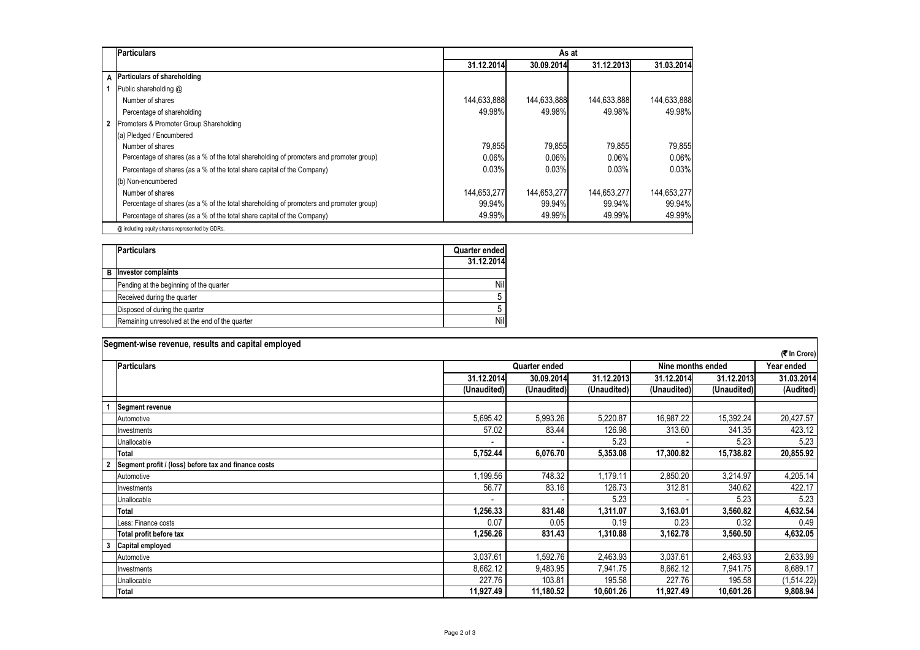| <b>Particulars</b>                                                                      |             | As at       |             |             |  |  |  |
|-----------------------------------------------------------------------------------------|-------------|-------------|-------------|-------------|--|--|--|
|                                                                                         | 31.12.2014  | 30.09.2014  | 31.12.2013  | 31.03.2014  |  |  |  |
| A Particulars of shareholding                                                           |             |             |             |             |  |  |  |
| Public shareholding @                                                                   |             |             |             |             |  |  |  |
| Number of shares                                                                        | 144,633,888 | 144,633,888 | 144,633,888 | 144,633,888 |  |  |  |
| Percentage of shareholding                                                              | 49.98%      | 49.98%      | 49.98%      | 49.98%      |  |  |  |
| 2 Promoters & Promoter Group Shareholding                                               |             |             |             |             |  |  |  |
| (a) Pledged / Encumbered                                                                |             |             |             |             |  |  |  |
| Number of shares                                                                        | 79,855      | 79,855      | 79,855      | 79,855      |  |  |  |
| Percentage of shares (as a % of the total shareholding of promoters and promoter group) | 0.06%       | 0.06%       | 0.06%       | 0.06%       |  |  |  |
| Percentage of shares (as a % of the total share capital of the Company)                 | 0.03%       | 0.03%       | 0.03%       | 0.03%       |  |  |  |
| (b) Non-encumbered                                                                      |             |             |             |             |  |  |  |
| Number of shares                                                                        | 144,653,277 | 144,653,277 | 144,653,277 | 144,653,277 |  |  |  |
| Percentage of shares (as a % of the total shareholding of promoters and promoter group) | 99.94%      | 99.94%      | 99.94%      | 99.94%      |  |  |  |
| Percentage of shares (as a % of the total share capital of the Company)                 | 49.99%      | 49.99%      | 49.99%      | 49.99%      |  |  |  |
| @ including equity shares represented by GDRs.                                          |             |             |             |             |  |  |  |

|   | <b>Particulars</b>                             | Quarter ended<br>31.12.2014 |
|---|------------------------------------------------|-----------------------------|
| B | <b>Investor complaints</b>                     |                             |
|   | Pending at the beginning of the quarter        | Nil                         |
|   | Received during the quarter                    | 5                           |
|   | Disposed of during the quarter                 | 5                           |
|   | Remaining unresolved at the end of the quarter | Nil                         |

|    | Segment-wise revenue, results and capital employed   |             |               |             |                   |             |            |  |
|----|------------------------------------------------------|-------------|---------------|-------------|-------------------|-------------|------------|--|
|    | (そ In Crore)                                         |             |               |             |                   |             |            |  |
|    | <b>Particulars</b>                                   |             | Quarter ended |             | Nine months ended | Year ended  |            |  |
|    |                                                      | 31.12.2014  | 30.09.2014    | 31.12.2013  | 31.12.2014        | 31.12.2013  | 31.03.2014 |  |
|    |                                                      | (Unaudited) | (Unaudited)   | (Unaudited) | (Unaudited)       | (Unaudited) | (Audited)  |  |
|    | <b>Segment revenue</b>                               |             |               |             |                   |             |            |  |
|    | Automotive                                           | 5,695.42    | 5,993.26      | 5,220.87    | 16,987.22         | 15,392.24   | 20,427.57  |  |
|    | Investments                                          | 57.02       | 83.44         | 126.98      | 313.60            | 341.35      | 423.12     |  |
|    | Unallocable                                          |             |               | 5.23        |                   | 5.23        | 5.23       |  |
|    | Total                                                | 5,752.44    | 6,076.70      | 5,353.08    | 17,300.82         | 15,738.82   | 20,855.92  |  |
|    | Segment profit / (loss) before tax and finance costs |             |               |             |                   |             |            |  |
|    | Automotive                                           | 1,199.56    | 748.32        | 1,179.11    | 2,850.20          | 3,214.97    | 4,205.14   |  |
|    | Investments                                          | 56.77       | 83.16         | 126.73      | 312.81            | 340.62      | 422.17     |  |
|    | Unallocable                                          |             |               | 5.23        |                   | 5.23        | 5.23       |  |
|    | Total                                                | 1,256.33    | 831.48        | 1,311.07    | 3,163.01          | 3,560.82    | 4,632.54   |  |
|    | Less: Finance costs                                  | 0.07        | 0.05          | 0.19        | 0.23              | 0.32        | 0.49       |  |
|    | Total profit before tax                              | 1,256.26    | 831.43        | 1,310.88    | 3,162.78          | 3,560.50    | 4,632.05   |  |
| -3 | Capital employed                                     |             |               |             |                   |             |            |  |
|    | Automotive                                           | 3,037.61    | 1,592.76      | 2,463.93    | 3,037.61          | 2,463.93    | 2,633.99   |  |
|    | Investments                                          | 8,662.12    | 9,483.95      | 7,941.75    | 8,662.12          | 7,941.75    | 8,689.17   |  |
|    | Unallocable                                          | 227.76      | 103.81        | 195.58      | 227.76            | 195.58      | (1,514.22) |  |
|    | Total                                                | 11,927.49   | 11,180.52     | 10,601.26   | 11,927.49         | 10,601.26   | 9,808.94   |  |